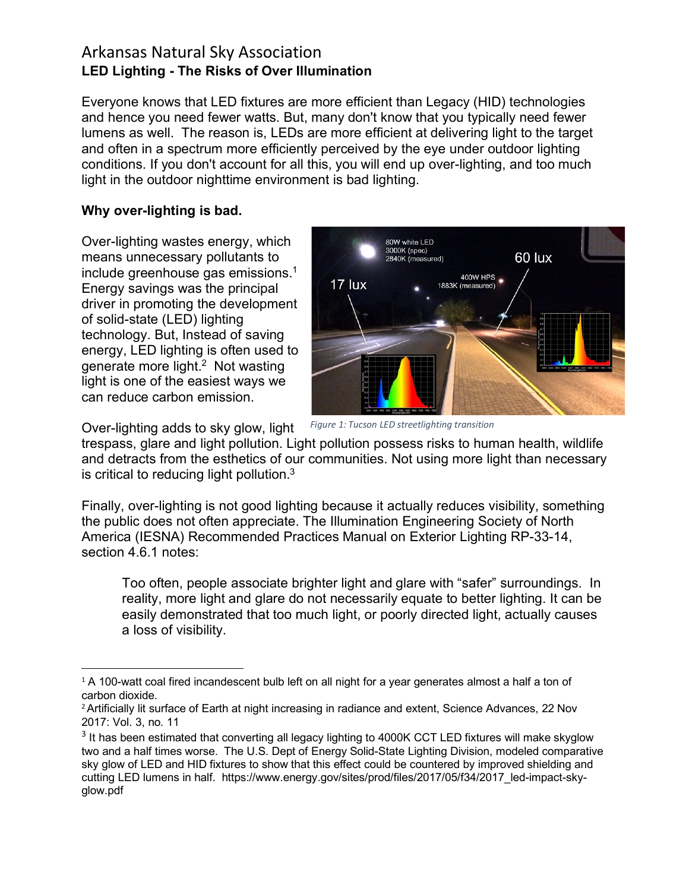Everyone knows that LED fixtures are more efficient than Legacy (HID) technologies and hence you need fewer watts. But, many don't know that you typically need fewer lumens as well. The reason is, LEDs are more efficient at delivering light to the target and often in a spectrum more efficiently perceived by the eye under outdoor lighting conditions. If you don't account for all this, you will end up over-lighting, and too much light in the outdoor nighttime environment is bad lighting.

#### **Why over-lighting is bad.**

Over-lighting wastes energy, which means unnecessary pollutants to include greenhouse gas emissions.<sup>1</sup> Energy savings was the principal driver in promoting the development of solid-state (LED) lighting technology. But, Instead of saving energy, LED lighting is often used to generate more light. <sup>2</sup> Not wasting light is one of the easiest ways we can reduce carbon emission.

Over-lighting adds to sky glow, light



*Figure 1: Tucson LED streetlighting transition*

trespass, glare and light pollution. Light pollution possess risks to human health, wildlife and detracts from the esthetics of our communities. Not using more light than necessary is critical to reducing light pollution. $3$ 

Finally, over-lighting is not good lighting because it actually reduces visibility, something the public does not often appreciate. The Illumination Engineering Society of North America (IESNA) Recommended Practices Manual on Exterior Lighting RP-33-14, section 4.6.1 notes:

Too often, people associate brighter light and glare with "safer" surroundings. In reality, more light and glare do not necessarily equate to better lighting. It can be easily demonstrated that too much light, or poorly directed light, actually causes a loss of visibility.

 $1$  A 100-watt coal fired incandescent bulb left on all night for a year generates almost a half a ton of carbon dioxide.

<sup>&</sup>lt;sup>2</sup> Artificially lit surface of Earth at night increasing in radiance and extent, Science Advances, 22 Nov 2017: Vol. 3, no. 11

<sup>&</sup>lt;sup>3</sup> It has been estimated that converting all legacy lighting to 4000K CCT LED fixtures will make skyglow two and a half times worse. The U.S. Dept of Energy Solid-State Lighting Division, modeled comparative sky glow of LED and HID fixtures to show that this effect could be countered by improved shielding and cutting LED lumens in half. https://www.energy.gov/sites/prod/files/2017/05/f34/2017\_led-impact-skyglow.pdf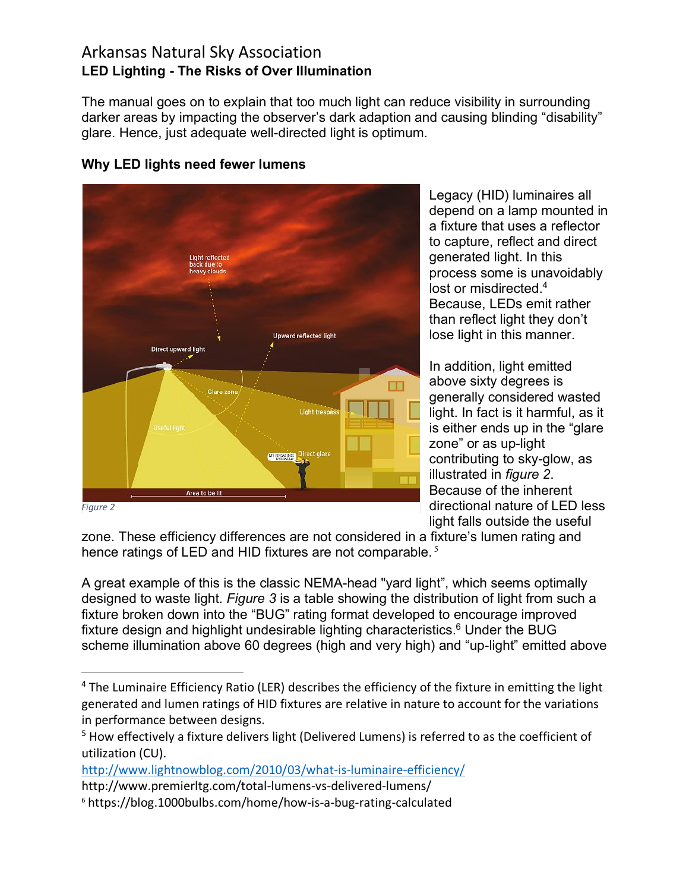The manual goes on to explain that too much light can reduce visibility in surrounding darker areas by impacting the observer's dark adaption and causing blinding "disability" glare. Hence, just adequate well-directed light is optimum.



#### **Why LED lights need fewer lumens**

Legacy (HID) luminaires all depend on a lamp mounted in a fixture that uses a reflector to capture, reflect and direct generated light. In this process some is unavoidably lost or misdirected.<sup>4</sup> Because, LEDs emit rather than reflect light they don't lose light in this manner.

In addition, light emitted above sixty degrees is generally considered wasted light. In fact is it harmful, as it is either ends up in the "glare zone" or as up-light contributing to sky-glow, as illustrated in *figure 2*. Because of the inherent directional nature of LED less light falls outside the useful

zone. These efficiency differences are not considered in a fixture's lumen rating and hence ratings of LED and HID fixtures are not comparable.<sup>5</sup>

A great example of this is the classic NEMA-head "yard light", which seems optimally designed to waste light. *Figure 3* is a table showing the distribution of light from such a fixture broken down into the "BUG" rating format developed to encourage improved fixture design and highlight undesirable lighting characteristics. $6$  Under the BUG scheme illumination above 60 degrees (high and very high) and "up-light" emitted above

http://www.lightnowblog.com/2010/03/what-is-luminaire-efficiency/

<sup>&</sup>lt;sup>4</sup> The Luminaire Efficiency Ratio (LER) describes the efficiency of the fixture in emitting the light generated and lumen ratings of HID fixtures are relative in nature to account for the variations in performance between designs.

<sup>&</sup>lt;sup>5</sup> How effectively a fixture delivers light (Delivered Lumens) is referred to as the coefficient of utilization (CU).

http://www.premierltg.com/total-lumens-vs-delivered-lumens/

<sup>6</sup> https://blog.1000bulbs.com/home/how-is-a-bug-rating-calculated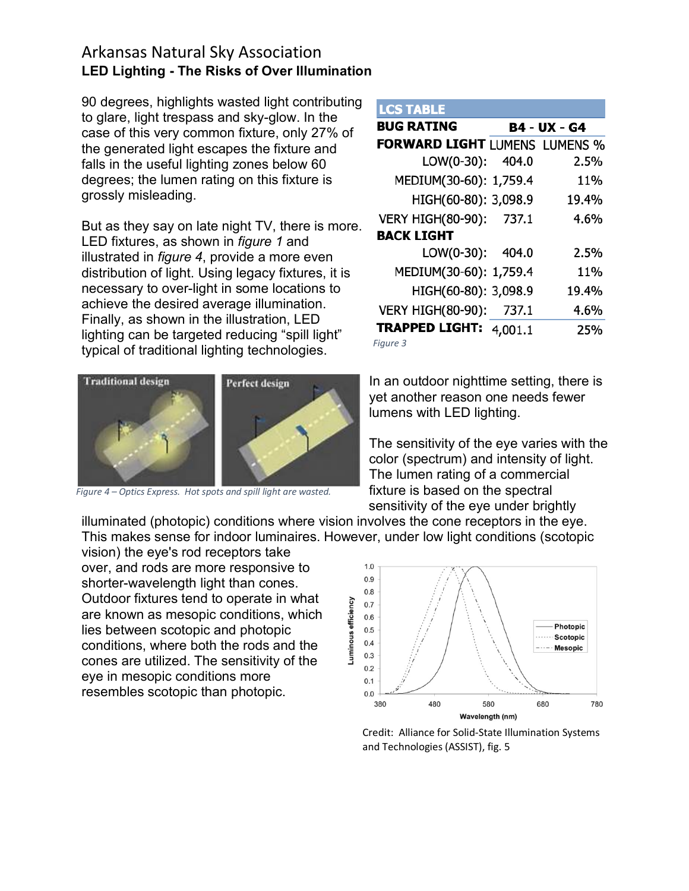90 degrees, highlights wasted light contributing to glare, light trespass and sky-glow. In the case of this very common fixture, only 27% of the generated light escapes the fixture and falls in the useful lighting zones below 60 degrees; the lumen rating on this fixture is grossly misleading.

But as they say on late night TV, there is more. LED fixtures, as shown in *figure 1* and illustrated in *figure 4*, provide a more even distribution of light. Using legacy fixtures, it is necessary to over-light in some locations to achieve the desired average illumination. Finally, as shown in the illustration, LED lighting can be targeted reducing "spill light" typical of traditional lighting technologies.



*Figure 4 – Optics Express. Hot spots and spill light are wasted.*

**LCS TABLE** 

|                                   | <b>B4 - UX - G4</b>                  |
|-----------------------------------|--------------------------------------|
|                                   |                                      |
|                                   | <b>FORWARD LIGHT LUMENS LUMENS %</b> |
| LOW(0-30): 404.0                  | 2.5%                                 |
| MEDIUM(30-60): 1,759.4            | 11%                                  |
| HIGH(60-80): 3,098.9              | 19.4%                                |
| VERY HIGH(80-90): 737.1           | 4.6%                                 |
|                                   |                                      |
| LOW(0-30): 404.0                  | 2.5%                                 |
| MEDIUM(30-60): 1,759.4            | 11 <sub>%</sub>                      |
| HIGH(60-80): 3,098.9              | 19.4%                                |
| <b>VERY HIGH(80-90):</b><br>737.1 | 4.6%                                 |
| <b>TRAPPED LIGHT:</b><br>4,001.1  | 25%                                  |
|                                   |                                      |

*Figure 3*

In an outdoor nighttime setting, there is yet another reason one needs fewer lumens with LED lighting.

The sensitivity of the eye varies with the color (spectrum) and intensity of light. The lumen rating of a commercial fixture is based on the spectral sensitivity of the eye under brightly

illuminated (photopic) conditions where vision involves the cone receptors in the eye. This makes sense for indoor luminaires. However, under low light conditions (scotopic

vision) the eye's rod receptors take over, and rods are more responsive to shorter-wavelength light than cones. Outdoor fixtures tend to operate in what are known as mesopic conditions, which lies between scotopic and photopic conditions, where both the rods and the cones are utilized. The sensitivity of the eye in mesopic conditions more resembles scotopic than photopic.



Credit: Alliance for Solid-State Illumination Systems and Technologies (ASSIST), fig. 5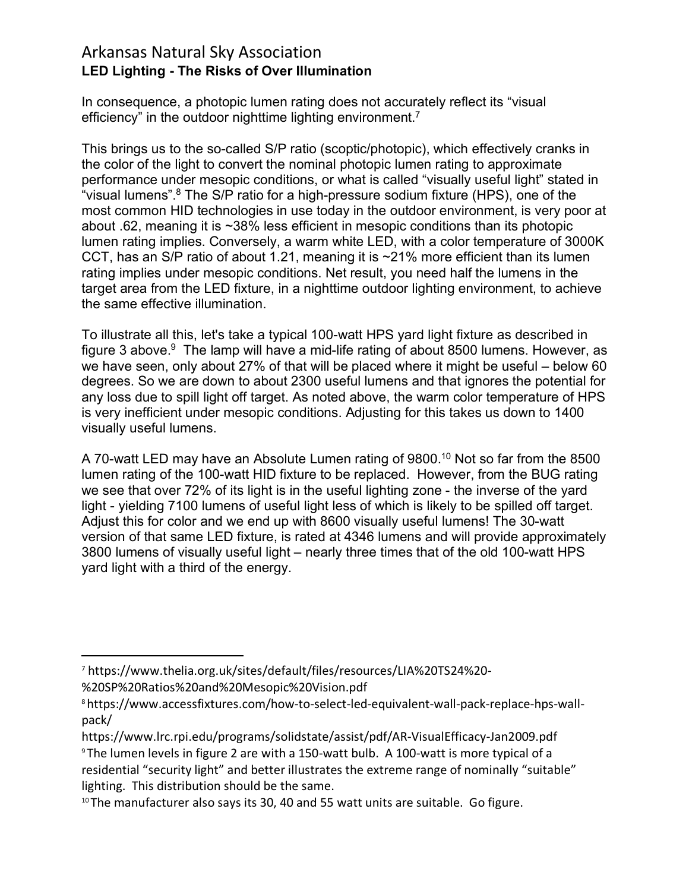In consequence, a photopic lumen rating does not accurately reflect its "visual efficiency" in the outdoor nighttime lighting environment.<sup>7</sup>

This brings us to the so-called S/P ratio (scoptic/photopic), which effectively cranks in the color of the light to convert the nominal photopic lumen rating to approximate performance under mesopic conditions, or what is called "visually useful light" stated in "visual lumens".<sup>8</sup> The S/P ratio for a high-pressure sodium fixture (HPS), one of the most common HID technologies in use today in the outdoor environment, is very poor at about .62, meaning it is ~38% less efficient in mesopic conditions than its photopic lumen rating implies. Conversely, a warm white LED, with a color temperature of 3000K CCT, has an S/P ratio of about 1.21, meaning it is ~21% more efficient than its lumen rating implies under mesopic conditions. Net result, you need half the lumens in the target area from the LED fixture, in a nighttime outdoor lighting environment, to achieve the same effective illumination.

To illustrate all this, let's take a typical 100-watt HPS yard light fixture as described in figure 3 above. $9$  The lamp will have a mid-life rating of about 8500 lumens. However, as we have seen, only about 27% of that will be placed where it might be useful – below 60 degrees. So we are down to about 2300 useful lumens and that ignores the potential for any loss due to spill light off target. As noted above, the warm color temperature of HPS is very inefficient under mesopic conditions. Adjusting for this takes us down to 1400 visually useful lumens.

A 70-watt LED may have an Absolute Lumen rating of 9800.10 Not so far from the 8500 lumen rating of the 100-watt HID fixture to be replaced. However, from the BUG rating we see that over 72% of its light is in the useful lighting zone - the inverse of the yard light - yielding 7100 lumens of useful light less of which is likely to be spilled off target. Adjust this for color and we end up with 8600 visually useful lumens! The 30-watt version of that same LED fixture, is rated at 4346 lumens and will provide approximately 3800 lumens of visually useful light – nearly three times that of the old 100-watt HPS yard light with a third of the energy.

 <sup>7</sup> https://www.thelia.org.uk/sites/default/files/resources/LIA%20TS24%20-

<sup>%20</sup>SP%20Ratios%20and%20Mesopic%20Vision.pdf

<sup>8</sup>https://www.accessfixtures.com/how-to-select-led-equivalent-wall-pack-replace-hps-wallpack/

https://www.lrc.rpi.edu/programs/solidstate/assist/pdf/AR-VisualEfficacy-Jan2009.pdf <sup>9</sup> The lumen levels in figure 2 are with a 150-watt bulb. A 100-watt is more typical of a residential "security light" and better illustrates the extreme range of nominally "suitable" lighting. This distribution should be the same.<br><sup>10</sup> The manufacturer also says its 30, 40 and 55 watt units are suitable. Go figure.